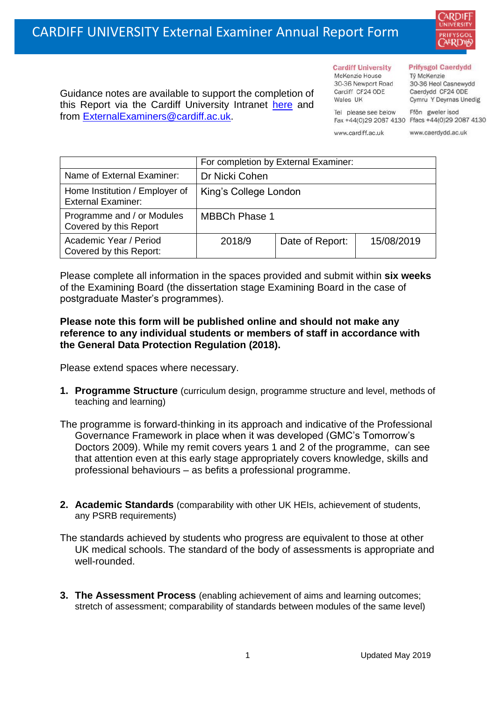

Guidance notes are available to support the completion of this Report via the Cardiff University Intranet [here](https://intranet.cardiff.ac.uk/staff/teaching-and-supporting-students/exams-and-assessment/exam-boards-and-external-examiners/for-current-external-examiners/external-examiners-reports) and from [ExternalExaminers@cardiff.ac.uk.](mailto:ExternalExaminers@cardiff.ac.uk)

**Cardiff University** McKenzie House 30-36 Newport Road Cardiff CF24 ODE

Wales UK

## **Prifysgol Caerdydd**

Từ McKenzie 30-36 Heol Casnewydd Caerdydd CF24 ODE Cymru Y Deyrnas Unedig

Ffôn gweler isod Fax +44(0)29 2087 4130 Ffacs +44(0)29 2087 4130

www.cardiff.ac.uk

Tel please see below

www.caerdydd.ac.uk

|                                                             | For completion by External Examiner: |                 |            |  |
|-------------------------------------------------------------|--------------------------------------|-----------------|------------|--|
| Name of External Examiner:                                  | Dr Nicki Cohen                       |                 |            |  |
| Home Institution / Employer of<br><b>External Examiner:</b> | King's College London                |                 |            |  |
| Programme and / or Modules<br>Covered by this Report        | <b>MBBCh Phase 1</b>                 |                 |            |  |
| Academic Year / Period<br>Covered by this Report:           | 2018/9                               | Date of Report: | 15/08/2019 |  |

Please complete all information in the spaces provided and submit within **six weeks** of the Examining Board (the dissertation stage Examining Board in the case of postgraduate Master's programmes).

## **Please note this form will be published online and should not make any reference to any individual students or members of staff in accordance with the General Data Protection Regulation (2018).**

Please extend spaces where necessary.

- **1. Programme Structure** (curriculum design, programme structure and level, methods of teaching and learning)
- The programme is forward-thinking in its approach and indicative of the Professional Governance Framework in place when it was developed (GMC's Tomorrow's Doctors 2009). While my remit covers years 1 and 2 of the programme, can see that attention even at this early stage appropriately covers knowledge, skills and professional behaviours – as befits a professional programme.
- **2. Academic Standards** (comparability with other UK HEIs, achievement of students, any PSRB requirements)

The standards achieved by students who progress are equivalent to those at other UK medical schools. The standard of the body of assessments is appropriate and well-rounded.

**3. The Assessment Process** (enabling achievement of aims and learning outcomes; stretch of assessment; comparability of standards between modules of the same level)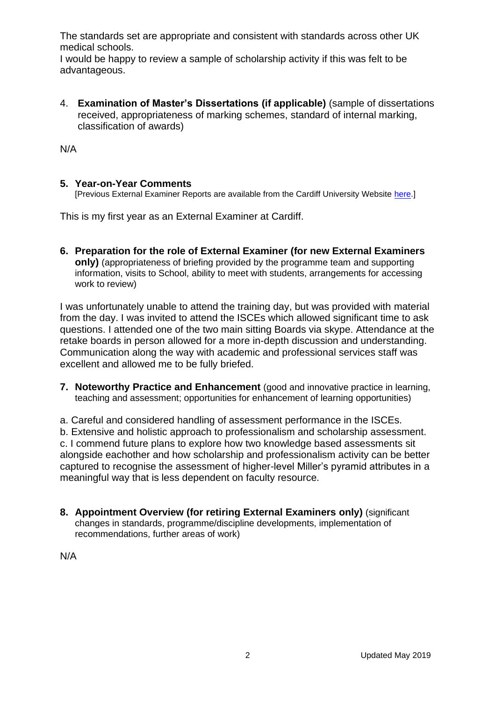The standards set are appropriate and consistent with standards across other UK medical schools.

I would be happy to review a sample of scholarship activity if this was felt to be advantageous.

4. **Examination of Master's Dissertations (if applicable)** (sample of dissertations received, appropriateness of marking schemes, standard of internal marking, classification of awards)

N/A

## **5. Year-on-Year Comments**

[Previous External Examiner Reports are available from the Cardiff University Website [here.](https://www.cardiff.ac.uk/public-information/quality-and-standards/external-examiner-reports)]

This is my first year as an External Examiner at Cardiff.

**6. Preparation for the role of External Examiner (for new External Examiners only)** (appropriateness of briefing provided by the programme team and supporting information, visits to School, ability to meet with students, arrangements for accessing work to review)

I was unfortunately unable to attend the training day, but was provided with material from the day. I was invited to attend the ISCEs which allowed significant time to ask questions. I attended one of the two main sitting Boards via skype. Attendance at the retake boards in person allowed for a more in-depth discussion and understanding. Communication along the way with academic and professional services staff was excellent and allowed me to be fully briefed.

**7. Noteworthy Practice and Enhancement** (good and innovative practice in learning, teaching and assessment; opportunities for enhancement of learning opportunities)

a. Careful and considered handling of assessment performance in the ISCEs. b. Extensive and holistic approach to professionalism and scholarship assessment. c. I commend future plans to explore how two knowledge based assessments sit alongside eachother and how scholarship and professionalism activity can be better captured to recognise the assessment of higher-level Miller's pyramid attributes in a meaningful way that is less dependent on faculty resource.

**8. Appointment Overview (for retiring External Examiners only)** (significant changes in standards, programme/discipline developments, implementation of recommendations, further areas of work)

N/A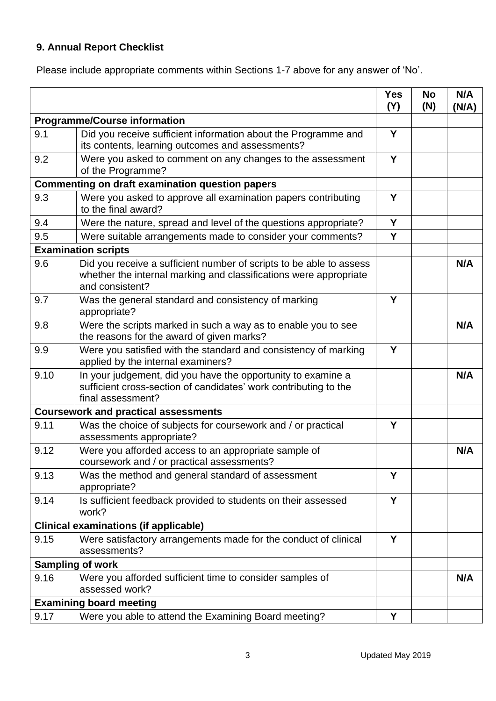## **9. Annual Report Checklist**

Please include appropriate comments within Sections 1-7 above for any answer of 'No'.

|                                                        |                                                                                                                                                             | <b>Yes</b><br>(Y) | <b>No</b><br>(N) | N/A<br>(N/A) |
|--------------------------------------------------------|-------------------------------------------------------------------------------------------------------------------------------------------------------------|-------------------|------------------|--------------|
| <b>Programme/Course information</b>                    |                                                                                                                                                             |                   |                  |              |
| 9.1                                                    | Did you receive sufficient information about the Programme and<br>its contents, learning outcomes and assessments?                                          | Y                 |                  |              |
| 9.2                                                    | Were you asked to comment on any changes to the assessment<br>of the Programme?                                                                             | Y                 |                  |              |
| <b>Commenting on draft examination question papers</b> |                                                                                                                                                             |                   |                  |              |
| 9.3                                                    | Were you asked to approve all examination papers contributing<br>to the final award?                                                                        | Y                 |                  |              |
| 9.4                                                    | Were the nature, spread and level of the questions appropriate?                                                                                             | Y                 |                  |              |
| 9.5                                                    | Were suitable arrangements made to consider your comments?                                                                                                  | Y                 |                  |              |
| <b>Examination scripts</b>                             |                                                                                                                                                             |                   |                  |              |
| 9.6                                                    | Did you receive a sufficient number of scripts to be able to assess<br>whether the internal marking and classifications were appropriate<br>and consistent? |                   |                  | N/A          |
| 9.7                                                    | Was the general standard and consistency of marking<br>appropriate?                                                                                         | Y                 |                  |              |
| 9.8                                                    | Were the scripts marked in such a way as to enable you to see<br>the reasons for the award of given marks?                                                  |                   |                  | N/A          |
| 9.9                                                    | Were you satisfied with the standard and consistency of marking<br>applied by the internal examiners?                                                       | Y                 |                  |              |
| 9.10                                                   | In your judgement, did you have the opportunity to examine a<br>sufficient cross-section of candidates' work contributing to the<br>final assessment?       |                   |                  | N/A          |
|                                                        | <b>Coursework and practical assessments</b>                                                                                                                 |                   |                  |              |
| 9.11                                                   | Was the choice of subjects for coursework and / or practical<br>assessments appropriate?                                                                    | Y                 |                  |              |
| 9.12                                                   | Were you afforded access to an appropriate sample of<br>coursework and / or practical assessments?                                                          |                   |                  | N/A          |
| 9.13                                                   | Was the method and general standard of assessment<br>appropriate?                                                                                           | Y                 |                  |              |
| 9.14                                                   | Is sufficient feedback provided to students on their assessed<br>work?                                                                                      | Y                 |                  |              |
| <b>Clinical examinations (if applicable)</b>           |                                                                                                                                                             |                   |                  |              |
| 9.15                                                   | Were satisfactory arrangements made for the conduct of clinical<br>assessments?                                                                             | Y                 |                  |              |
| <b>Sampling of work</b>                                |                                                                                                                                                             |                   |                  |              |
| 9.16                                                   | Were you afforded sufficient time to consider samples of<br>assessed work?                                                                                  |                   |                  | N/A          |
|                                                        | <b>Examining board meeting</b>                                                                                                                              |                   |                  |              |
| 9.17                                                   | Were you able to attend the Examining Board meeting?                                                                                                        | Υ                 |                  |              |